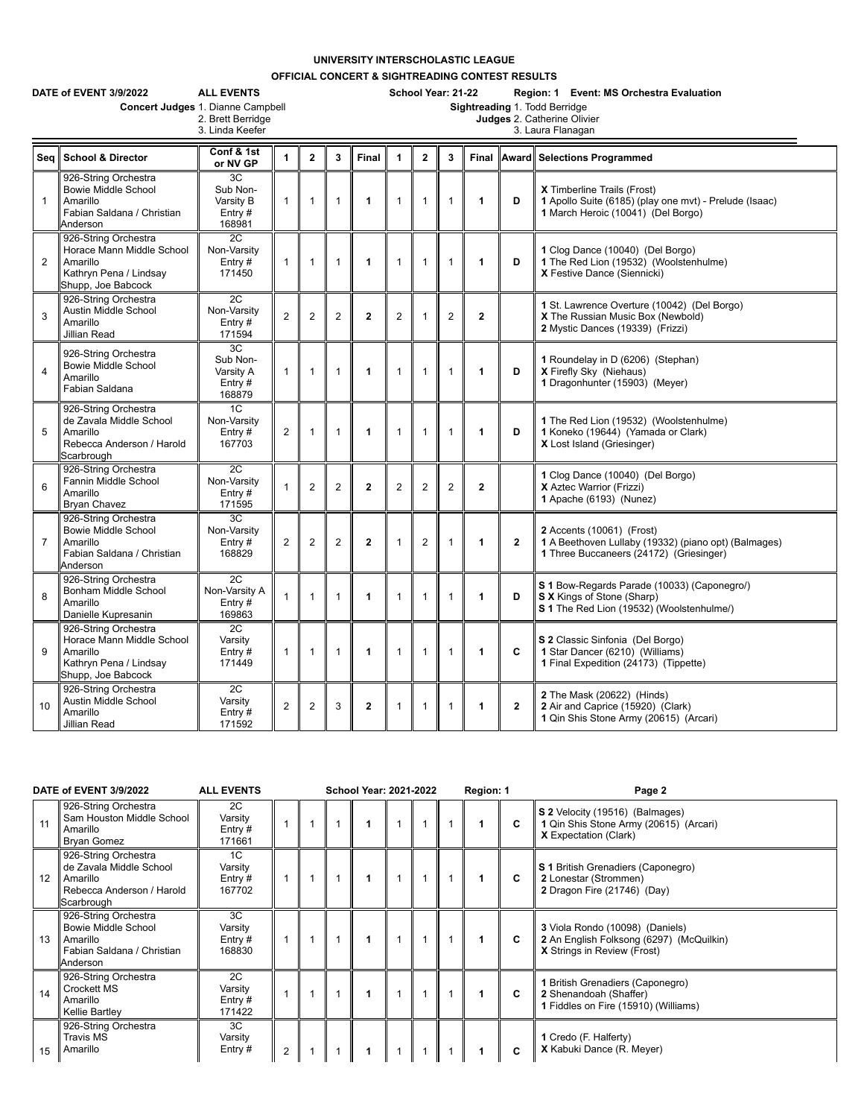## **UNIVERSITY INTERSCHOLASTIC LEAGUE**

**OFFICIAL CONCERT & SIGHTREADING CONTEST RESULTS**

|                | <b>ALL EVENTS</b><br>DATE of EVENT 3/9/2022<br>Concert Judges 1. Dianne Campbell<br>2. Brett Berridge<br>3. Linda Keefer |                                                       |                |                         |                | School Year: 21-22<br>Region: 1 Event: MS Orchestra Evaluation<br>Sightreading 1. Todd Berridge<br>Judges 2. Catherine Olivier<br>3. Laura Flanagan |                |                |                |              |                         |                                                                                                                               |
|----------------|--------------------------------------------------------------------------------------------------------------------------|-------------------------------------------------------|----------------|-------------------------|----------------|-----------------------------------------------------------------------------------------------------------------------------------------------------|----------------|----------------|----------------|--------------|-------------------------|-------------------------------------------------------------------------------------------------------------------------------|
| Seq            | <b>School &amp; Director</b>                                                                                             | Conf & 1st<br>or NV GP                                | 1              | $\overline{\mathbf{2}}$ | 3              | Final                                                                                                                                               | $\mathbf{1}$   | $\overline{2}$ | 3              | Final        |                         | <b>Award Selections Programmed</b>                                                                                            |
| $\mathbf{1}$   | 926-String Orchestra<br><b>Bowie Middle School</b><br>Amarillo<br>Fabian Saldana / Christian<br>Anderson                 | 3C<br>Sub Non-<br>Varsity B<br>Entry $#$<br>168981    | $\mathbf{1}$   | $\mathbf{1}$            | $\mathbf{1}$   | $\mathbf{1}$                                                                                                                                        | $\mathbf{1}$   | $\mathbf{1}$   | $\mathbf{1}$   | $\mathbf{1}$ | D                       | X Timberline Trails (Frost)<br>1 Apollo Suite (6185) (play one myt) - Prelude (Isaac)<br>1 March Heroic (10041) (Del Borgo)   |
| $\overline{2}$ | 926-String Orchestra<br>Horace Mann Middle School<br>Amarillo<br>Kathryn Pena / Lindsay<br>Shupp, Joe Babcock            | 2C<br>Non-Varsity<br>Entry#<br>171450                 | 1              | $\mathbf{1}$            | $\mathbf{1}$   | 1                                                                                                                                                   | 1              | $\mathbf{1}$   | $\mathbf{1}$   | 1            | D                       | 1 Clog Dance (10040) (Del Borgo)<br>1 The Red Lion (19532) (Woolstenhulme)<br>X Festive Dance (Siennicki)                     |
| 3              | 926-String Orchestra<br>Austin Middle School<br>Amarillo<br>Jillian Read                                                 | $\overline{2C}$<br>Non-Varsity<br>Entry $#$<br>171594 | $\overline{2}$ | $\mathbf{2}$            | $\mathbf{2}$   | $\mathbf{2}$                                                                                                                                        | $\overline{c}$ | $\mathbf{1}$   | $\overline{c}$ | $\mathbf{2}$ |                         | 1 St. Lawrence Overture (10042) (Del Borgo)<br>X The Russian Music Box (Newbold)<br>2 Mystic Dances (19339) (Frizzi)          |
| $\overline{4}$ | 926-String Orchestra<br><b>Bowie Middle School</b><br>Amarillo<br>Fabian Saldana                                         | 3C<br>Sub Non-<br>Varsity A<br>Entry#<br>168879       | $\mathbf{1}$   | $\mathbf{1}$            | $\mathbf{1}$   | $\mathbf{1}$                                                                                                                                        | $\mathbf{1}$   | $\mathbf{1}$   | 1              | 1            | D                       | 1 Roundelay in D (6206) (Stephan)<br>X Firefly Sky (Niehaus)<br>1 Dragonhunter (15903) (Meyer)                                |
| 5              | 926-String Orchestra<br>de Zavala Middle School<br>Amarillo<br>Rebecca Anderson / Harold<br>Scarbrough                   | 1C<br>Non-Varsity<br>Entry#<br>167703                 | $\overline{2}$ | $\mathbf{1}$            | $\mathbf{1}$   | 1                                                                                                                                                   | 1              | $\mathbf{1}$   | 1              | 1            | D                       | 1 The Red Lion (19532) (Woolstenhulme)<br>1 Koneko (19644) (Yamada or Clark)<br>X Lost Island (Griesinger)                    |
| 6              | 926-String Orchestra<br>Fannin Middle School<br>Amarillo<br>Bryan Chavez                                                 | 2C<br>Non-Varsity<br>Entry $#$<br>171595              | $\mathbf{1}$   | $\mathbf{2}$            | $\overline{2}$ | $\mathbf{2}$                                                                                                                                        | $\overline{2}$ | $\overline{2}$ | $\overline{2}$ | $\mathbf{2}$ |                         | 1 Clog Dance (10040) (Del Borgo)<br>X Aztec Warrior (Frizzi)<br>1 Apache (6193) (Nunez)                                       |
| $\overline{7}$ | 926-String Orchestra<br><b>Bowie Middle School</b><br>Amarillo<br>Fabian Saldana / Christian<br>Anderson                 | 3C<br>Non-Varsity<br>Entry $#$<br>168829              | 2              | $\overline{2}$          | $\overline{2}$ | $\mathbf{2}$                                                                                                                                        | 1              | $\overline{2}$ | 1              | 1            | $\mathbf{2}$            | 2 Accents (10061) (Frost)<br>1 A Beethoven Lullaby (19332) (piano opt) (Balmages)<br>1 Three Buccaneers (24172) (Griesinger)  |
| 8              | 926-String Orchestra<br>Bonham Middle School<br>Amarillo<br>Danielle Kupresanin                                          | 2C<br>Non-Varsity A<br>Entry#<br>169863               | $\mathbf{1}$   | $\mathbf{1}$            | $\mathbf{1}$   | $\mathbf{1}$                                                                                                                                        | $\mathbf{1}$   | $\mathbf{1}$   | 1              | 1            | D                       | S 1 Bow-Regards Parade (10033) (Caponegro/)<br><b>S X</b> Kings of Stone (Sharp)<br>S 1 The Red Lion (19532) (Woolstenhulme/) |
| 9              | 926-String Orchestra<br>Horace Mann Middle School<br>Amarillo<br>Kathryn Pena / Lindsay<br>Shupp, Joe Babcock            | 2C<br>Varsity<br>Entry#<br>171449                     | $\mathbf{1}$   | $\mathbf{1}$            | $\mathbf{1}$   | $\blacktriangleleft$                                                                                                                                | $\mathbf{1}$   | $\mathbf{1}$   | $\mathbf{1}$   | 1            | C                       | S 2 Classic Sinfonia (Del Borgo)<br>1 Star Dancer (6210) (Williams)<br>1 Final Expedition (24173) (Tippette)                  |
| 10             | 926-String Orchestra<br><b>Austin Middle School</b><br>Amarillo<br>Jillian Read                                          | 2C<br>Varsity<br>Entry $#$<br>171592                  | $\overline{2}$ | $\overline{2}$          | 3              | $\mathbf{2}$                                                                                                                                        | $\mathbf{1}$   | $\mathbf{1}$   | 1              | 1            | $\overline{\mathbf{2}}$ | 2 The Mask (20622) (Hinds)<br>2 Air and Caprice (15920) (Clark)<br>1 Qin Shis Stone Army (20615) (Arcari)                     |

| DATE of EVENT 3/9/2022 |                                                                                                          | <b>ALL EVENTS</b>                    | <b>School Year: 2021-2022</b> |  |  |  |  | Region: 1 |  | Page 2 |                                                                                                                   |
|------------------------|----------------------------------------------------------------------------------------------------------|--------------------------------------|-------------------------------|--|--|--|--|-----------|--|--------|-------------------------------------------------------------------------------------------------------------------|
| 11                     | 926-String Orchestra<br>Sam Houston Middle School<br>Amarillo<br>Bryan Gomez                             | 2C<br>Varsity<br>Entry $#$<br>171661 |                               |  |  |  |  |           |  | C      | S 2 Velocity (19516) (Balmages)<br>1 Qin Shis Stone Army (20615) (Arcari)<br><b>X</b> Expectation (Clark)         |
| 12                     | 926-String Orchestra<br>de Zavala Middle School<br>Amarillo<br>Rebecca Anderson / Harold<br>Scarbrough   | 1C<br>Varsity<br>Entry $#$<br>167702 |                               |  |  |  |  |           |  | С      | S 1 British Grenadiers (Caponegro)<br>2 Lonestar (Strommen)<br>2 Dragon Fire (21746) (Day)                        |
| 13                     | 926-String Orchestra<br><b>Bowie Middle School</b><br>Amarillo<br>Fabian Saldana / Christian<br>Anderson | 3C<br>Varsity<br>Entry $#$<br>168830 |                               |  |  |  |  |           |  | C      | 3 Viola Rondo (10098) (Daniels)<br>2 An English Folksong (6297) (McQuilkin)<br><b>X</b> Strings in Review (Frost) |
| 14                     | 926-String Orchestra<br>Crockett MS<br>Amarillo<br>Kellie Bartley                                        | 2C<br>Varsity<br>Entry $#$<br>171422 |                               |  |  |  |  |           |  | C      | 1 British Grenadiers (Caponegro)<br>2 Shenandoah (Shaffer)<br>1 Fiddles on Fire (15910) (Williams)                |
| 15                     | 926-String Orchestra<br><b>Travis MS</b><br>Amarillo                                                     | 3C<br>Varsity<br>Entry $#$           | $\overline{2}$                |  |  |  |  |           |  |        | 1 Credo (F. Halferty)<br>X Kabuki Dance (R. Meyer)                                                                |